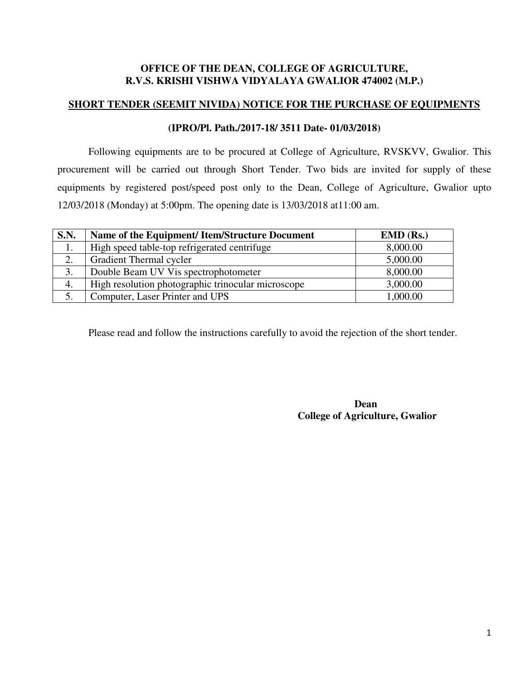#### **OFFICE OF THE DEAN, COLLEGE OF AGRICULTURE, R.V.S. KRISHI VISHWA VIDYALAYA GWALIOR 474002 (M.P.)**

#### **SHORT TENDER (SEEMIT NIVIDA) NOTICE FOR THE PURCHASE OF EQUIPMENTS**

#### **(IPRO/Pl. Path./2017-18/ 3511 Date- 01/03/2018)**

Following equipments are to be procured at College of Agriculture, RVSKVV, Gwalior. This procurement will be carried out through Short Tender. Two bids are invited for supply of these equipments by registered post/speed post only to the Dean, College of Agriculture, Gwalior upto 12/03/2018 (Monday) at 5:00pm. The opening date is 13/03/2018 at11:00 am.

| <b>S.N.</b> | Name of the Equipment/ Item/Structure Document     | $EMD$ (Rs.) |
|-------------|----------------------------------------------------|-------------|
| 1.          | High speed table-top refrigerated centrifuge       | 8,000.00    |
| 2.          | Gradient Thermal cycler                            | 5,000.00    |
| 3.          | Double Beam UV Vis spectrophotometer               | 8,000.00    |
| 4.          | High resolution photographic trinocular microscope | 3,000.00    |
|             | Computer, Laser Printer and UPS                    | 1,000.00    |

Please read and follow the instructions carefully to avoid the rejection of the short tender.

 **Dean College of Agriculture, Gwalior**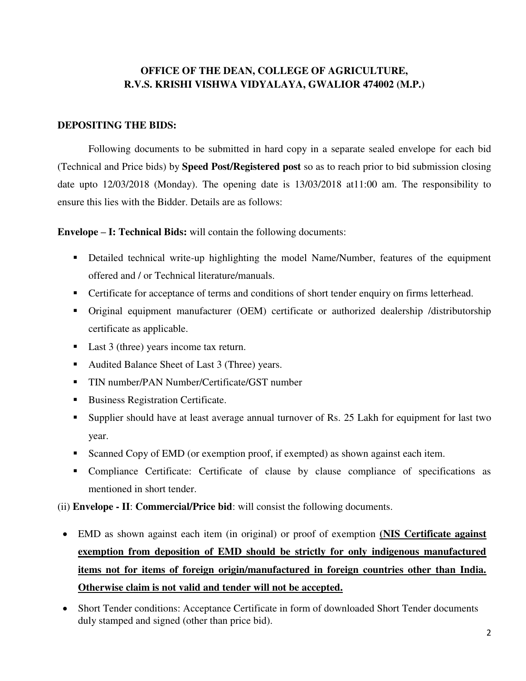### **OFFICE OF THE DEAN, COLLEGE OF AGRICULTURE, R.V.S. KRISHI VISHWA VIDYALAYA, GWALIOR 474002 (M.P.)**

#### **DEPOSITING THE BIDS:**

Following documents to be submitted in hard copy in a separate sealed envelope for each bid (Technical and Price bids) by **Speed Post/Registered post** so as to reach prior to bid submission closing date upto 12/03/2018 (Monday). The opening date is 13/03/2018 at11:00 am. The responsibility to ensure this lies with the Bidder. Details are as follows:

**Envelope – I: Technical Bids:** will contain the following documents:

- Detailed technical write-up highlighting the model Name/Number, features of the equipment offered and / or Technical literature/manuals.
- **•** Certificate for acceptance of terms and conditions of short tender enquiry on firms letterhead.
- Original equipment manufacturer (OEM) certificate or authorized dealership /distributorship certificate as applicable.
- Last 3 (three) years income tax return.
- Audited Balance Sheet of Last 3 (Three) years.
- TIN number/PAN Number/Certificate/GST number
- Business Registration Certificate.
- Supplier should have at least average annual turnover of Rs. 25 Lakh for equipment for last two year.
- Scanned Copy of EMD (or exemption proof, if exempted) as shown against each item.
- Compliance Certificate: Certificate of clause by clause compliance of specifications as mentioned in short tender.

(ii) **Envelope - II**: **Commercial/Price bid**: will consist the following documents.

- EMD as shown against each item (in original) or proof of exemption **(NIS Certificate against exemption from deposition of EMD should be strictly for only indigenous manufactured items not for items of foreign origin/manufactured in foreign countries other than India. Otherwise claim is not valid and tender will not be accepted.**
- Short Tender conditions: Acceptance Certificate in form of downloaded Short Tender documents duly stamped and signed (other than price bid).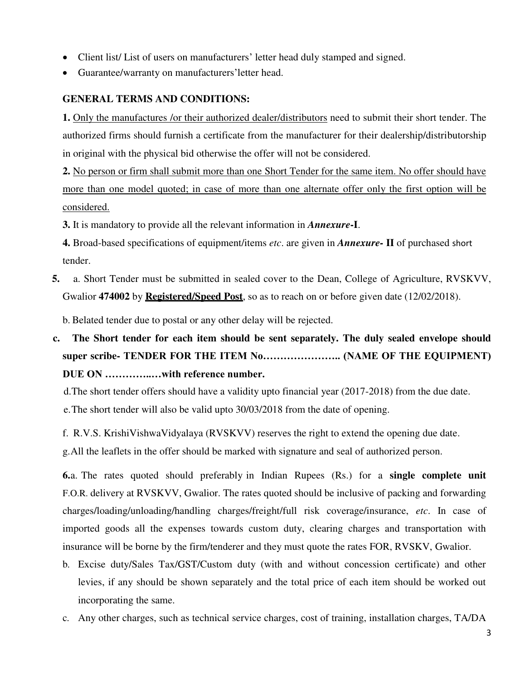- Client list/ List of users on manufacturers' letter head duly stamped and signed.
- Guarantee/warranty on manufacturers'letter head.

### **GENERAL TERMS AND CONDITIONS:**

**1.** Only the manufactures /or their authorized dealer/distributors need to submit their short tender. The authorized firms should furnish a certificate from the manufacturer for their dealership/distributorship in original with the physical bid otherwise the offer will not be considered.

**2.** No person or firm shall submit more than one Short Tender for the same item. No offer should have more than one model quoted; in case of more than one alternate offer only the first option will be considered.

**3.** It is mandatory to provide all the relevant information in *Annexure***-I**.

**4.** Broad-based specifications of equipment/items *etc*. are given in *Annexure-* **II** of purchased short tender.

**5.** a. Short Tender must be submitted in sealed cover to the Dean, College of Agriculture, RVSKVV, Gwalior **474002** by **Registered/Speed Post**, so as to reach on or before given date (12/02/2018).

b. Belated tender due to postal or any other delay will be rejected.

**c. The Short tender for each item should be sent separately. The duly sealed envelope should super scribe- TENDER FOR THE ITEM No………………….. (NAME OF THE EQUIPMENT) DUE ON …………..…with reference number.**

d.The short tender offers should have a validity upto financial year (2017-2018) from the due date.

e.The short tender will also be valid upto 30/03/2018 from the date of opening.

f. R.V.S. KrishiVishwaVidyalaya (RVSKVV) reserves the right to extend the opening due date.

g.All the leaflets in the offer should be marked with signature and seal of authorized person.

**6.**a. The rates quoted should preferably in Indian Rupees (Rs.) for a **single complete unit**  F.O.R. delivery at RVSKVV, Gwalior. The rates quoted should be inclusive of packing and forwarding charges/loading/unloading/handling charges/freight/full risk coverage/insurance, *etc*. In case of imported goods all the expenses towards custom duty, clearing charges and transportation with insurance will be borne by the firm/tenderer and they must quote the rates FOR, RVSKV, Gwalior.

- b. Excise duty/Sales Tax/GST/Custom duty (with and without concession certificate) and other levies, if any should be shown separately and the total price of each item should be worked out incorporating the same.
- c. Any other charges, such as technical service charges, cost of training, installation charges, TA/DA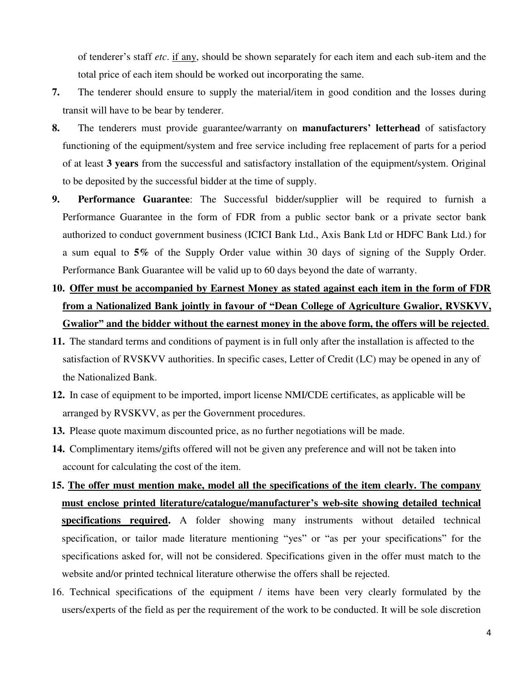of tenderer's staff *etc*. if any, should be shown separately for each item and each sub-item and the total price of each item should be worked out incorporating the same.

- **7.** The tenderer should ensure to supply the material/item in good condition and the losses during transit will have to be bear by tenderer.
- **8.** The tenderers must provide guarantee/warranty on **manufacturers' letterhead** of satisfactory functioning of the equipment/system and free service including free replacement of parts for a period of at least **3 years** from the successful and satisfactory installation of the equipment/system. Original to be deposited by the successful bidder at the time of supply.
- **9. Performance Guarantee**: The Successful bidder/supplier will be required to furnish a Performance Guarantee in the form of FDR from a public sector bank or a private sector bank authorized to conduct government business (ICICI Bank Ltd., Axis Bank Ltd or HDFC Bank Ltd.) for a sum equal to **5%** of the Supply Order value within 30 days of signing of the Supply Order. Performance Bank Guarantee will be valid up to 60 days beyond the date of warranty.
- **10. Offer must be accompanied by Earnest Money as stated against each item in the form of FDR from a Nationalized Bank jointly in favour of "Dean College of Agriculture Gwalior, RVSKVV, Gwalior" and the bidder without the earnest money in the above form, the offers will be rejected**.
- **11.** The standard terms and conditions of payment is in full only after the installation is affected to the satisfaction of RVSKVV authorities. In specific cases, Letter of Credit (LC) may be opened in any of the Nationalized Bank.
- **12.** In case of equipment to be imported, import license NMI/CDE certificates, as applicable will be arranged by RVSKVV, as per the Government procedures.
- **13.** Please quote maximum discounted price, as no further negotiations will be made.
- **14.** Complimentary items/gifts offered will not be given any preference and will not be taken into account for calculating the cost of the item.
- **15. The offer must mention make, model all the specifications of the item clearly. The company must enclose printed literature/catalogue/manufacturer's web-site showing detailed technical specifications required.** A folder showing many instruments without detailed technical specification, or tailor made literature mentioning "yes" or "as per your specifications" for the specifications asked for, will not be considered. Specifications given in the offer must match to the website and/or printed technical literature otherwise the offers shall be rejected.
- 16. Technical specifications of the equipment / items have been very clearly formulated by the users/experts of the field as per the requirement of the work to be conducted. It will be sole discretion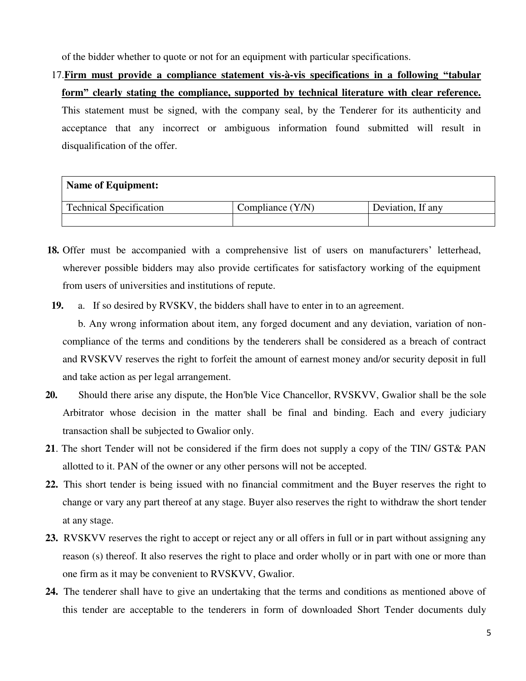of the bidder whether to quote or not for an equipment with particular specifications.

17.**Firm must provide a compliance statement vis-à-vis specifications in a following "tabular form" clearly stating the compliance, supported by technical literature with clear reference.**  This statement must be signed, with the company seal, by the Tenderer for its authenticity and acceptance that any incorrect or ambiguous information found submitted will result in disqualification of the offer.

| <b>Name of Equipment:</b>      |                    |                   |
|--------------------------------|--------------------|-------------------|
| <b>Technical Specification</b> | Compliance $(Y/N)$ | Deviation, If any |
|                                |                    |                   |

- **18.** Offer must be accompanied with a comprehensive list of users on manufacturers' letterhead, wherever possible bidders may also provide certificates for satisfactory working of the equipment from users of universities and institutions of repute.
- **19.** a. If so desired by RVSKV, the bidders shall have to enter in to an agreement.

b. Any wrong information about item, any forged document and any deviation, variation of noncompliance of the terms and conditions by the tenderers shall be considered as a breach of contract and RVSKVV reserves the right to forfeit the amount of earnest money and/or security deposit in full and take action as per legal arrangement.

- **20.** Should there arise any dispute, the Hon'ble Vice Chancellor, RVSKVV, Gwalior shall be the sole Arbitrator whose decision in the matter shall be final and binding. Each and every judiciary transaction shall be subjected to Gwalior only.
- **21**. The short Tender will not be considered if the firm does not supply a copy of the TIN/ GST& PAN allotted to it. PAN of the owner or any other persons will not be accepted.
- **22.** This short tender is being issued with no financial commitment and the Buyer reserves the right to change or vary any part thereof at any stage. Buyer also reserves the right to withdraw the short tender at any stage.
- **23.** RVSKVV reserves the right to accept or reject any or all offers in full or in part without assigning any reason (s) thereof. It also reserves the right to place and order wholly or in part with one or more than one firm as it may be convenient to RVSKVV, Gwalior.
- **24.** The tenderer shall have to give an undertaking that the terms and conditions as mentioned above of this tender are acceptable to the tenderers in form of downloaded Short Tender documents duly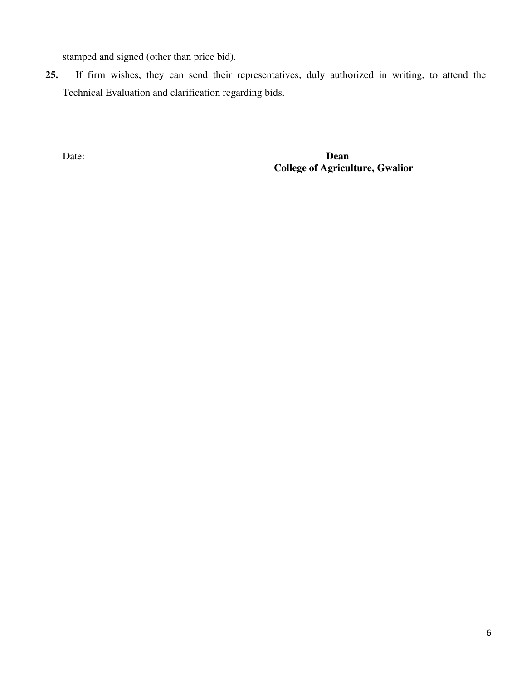stamped and signed (other than price bid).

**25.** If firm wishes, they can send their representatives, duly authorized in writing, to attend the Technical Evaluation and clarification regarding bids.

Date: **Dean College of Agriculture, Gwalior**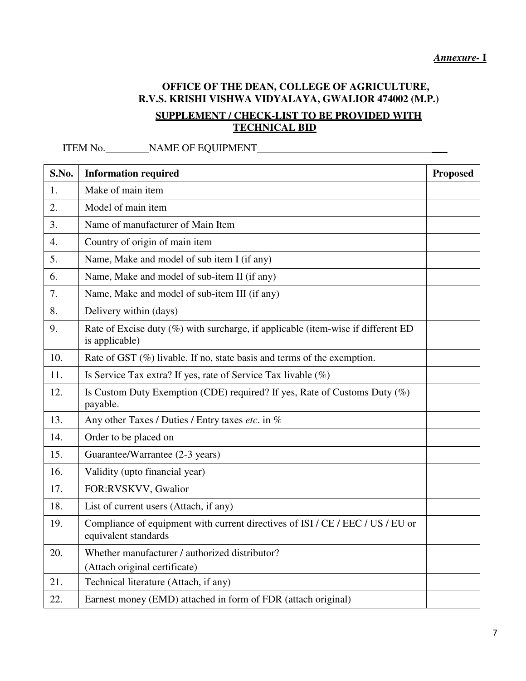# **OFFICE OF THE DEAN, COLLEGE OF AGRICULTURE, R.V.S. KRISHI VISHWA VIDYALAYA, GWALIOR 474002 (M.P.)**

## **SUPPLEMENT / CHECK-LIST TO BE PROVIDED WITH TECHNICAL BID**

ITEM No. NAME OF EQUIPMENT \_\_\_

| S.No. | <b>Information required</b>                                                                            | <b>Proposed</b> |
|-------|--------------------------------------------------------------------------------------------------------|-----------------|
| 1.    | Make of main item                                                                                      |                 |
| 2.    | Model of main item                                                                                     |                 |
| 3.    | Name of manufacturer of Main Item                                                                      |                 |
| 4.    | Country of origin of main item                                                                         |                 |
| 5.    | Name, Make and model of sub item I (if any)                                                            |                 |
| 6.    | Name, Make and model of sub-item II (if any)                                                           |                 |
| 7.    | Name, Make and model of sub-item III (if any)                                                          |                 |
| 8.    | Delivery within (days)                                                                                 |                 |
| 9.    | Rate of Excise duty (%) with surcharge, if applicable (item-wise if different ED<br>is applicable)     |                 |
| 10.   | Rate of GST (%) livable. If no, state basis and terms of the exemption.                                |                 |
| 11.   | Is Service Tax extra? If yes, rate of Service Tax livable (%)                                          |                 |
| 12.   | Is Custom Duty Exemption (CDE) required? If yes, Rate of Customs Duty (%)<br>payable.                  |                 |
| 13.   | Any other Taxes / Duties / Entry taxes etc. in %                                                       |                 |
| 14.   | Order to be placed on                                                                                  |                 |
| 15.   | Guarantee/Warrantee (2-3 years)                                                                        |                 |
| 16.   | Validity (upto financial year)                                                                         |                 |
| 17.   | FOR:RVSKVV, Gwalior                                                                                    |                 |
| 18.   | List of current users (Attach, if any)                                                                 |                 |
| 19.   | Compliance of equipment with current directives of ISI / CE / EEC / US / EU or<br>equivalent standards |                 |
| 20.   | Whether manufacturer / authorized distributor?<br>(Attach original certificate)                        |                 |
| 21.   | Technical literature (Attach, if any)                                                                  |                 |
| 22.   | Earnest money (EMD) attached in form of FDR (attach original)                                          |                 |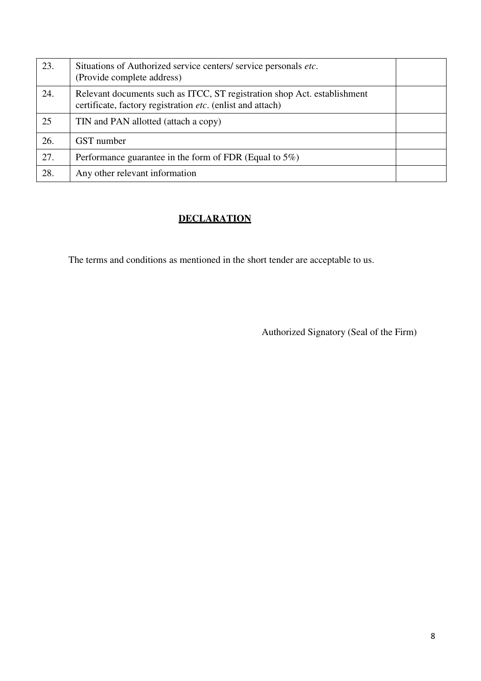| 23. | Situations of Authorized service centers/ service personals etc.<br>(Provide complete address)                                         |  |
|-----|----------------------------------------------------------------------------------------------------------------------------------------|--|
| 24. | Relevant documents such as ITCC, ST registration shop Act. establishment<br>certificate, factory registration etc. (enlist and attach) |  |
| 25  | TIN and PAN allotted (attach a copy)                                                                                                   |  |
| 26. | GST number                                                                                                                             |  |
| 27. | Performance guarantee in the form of FDR (Equal to $5\%$ )                                                                             |  |
| 28. | Any other relevant information                                                                                                         |  |

# **DECLARATION**

The terms and conditions as mentioned in the short tender are acceptable to us.

Authorized Signatory (Seal of the Firm)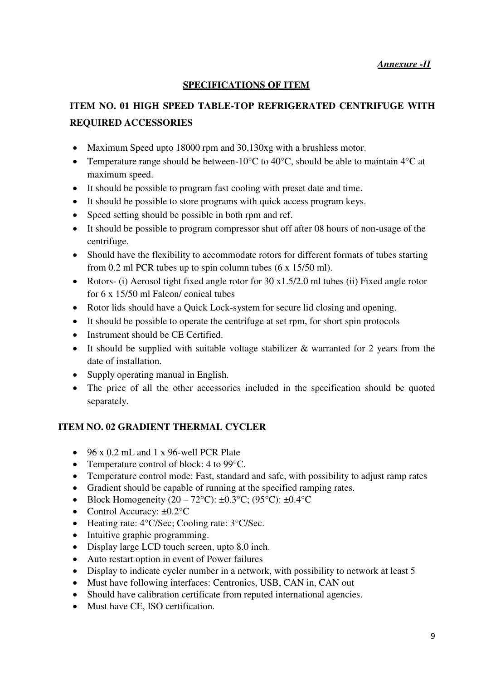### **SPECIFICATIONS OF ITEM**

# **ITEM NO. 01 HIGH SPEED TABLE-TOP REFRIGERATED CENTRIFUGE WITH REQUIRED ACCESSORIES**

- Maximum Speed upto 18000 rpm and 30,130xg with a brushless motor.
- Temperature range should be between-10 $\degree$ C to 40 $\degree$ C, should be able to maintain 4 $\degree$ C at maximum speed.
- It should be possible to program fast cooling with preset date and time.
- It should be possible to store programs with quick access program keys.
- Speed setting should be possible in both rpm and rcf.
- It should be possible to program compressor shut off after 08 hours of non-usage of the centrifuge.
- Should have the flexibility to accommodate rotors for different formats of tubes starting from 0.2 ml PCR tubes up to spin column tubes (6 x 15/50 ml).
- Rotors- (i) Aerosol tight fixed angle rotor for  $30 \times 1.5/2.0$  ml tubes (ii) Fixed angle rotor for 6 x 15/50 ml Falcon/ conical tubes
- Rotor lids should have a Quick Lock-system for secure lid closing and opening.
- It should be possible to operate the centrifuge at set rpm, for short spin protocols
- Instrument should be CE Certified.
- It should be supplied with suitable voltage stabilizer  $\&$  warranted for 2 years from the date of installation.
- Supply operating manual in English.
- The price of all the other accessories included in the specification should be quoted separately.

#### **ITEM NO. 02 GRADIENT THERMAL CYCLER**

- $\bullet$  96 x 0.2 mL and 1 x 96-well PCR Plate
- Temperature control of block: 4 to 99 °C.
- Temperature control mode: Fast, standard and safe, with possibility to adjust ramp rates
- Gradient should be capable of running at the specified ramping rates.
- Block Homogeneity  $(20 72^{\circ}\text{C})$ :  $\pm 0.3^{\circ}\text{C}$ ;  $(95^{\circ}\text{C})$ :  $\pm 0.4^{\circ}\text{C}$
- Control Accuracy:  $\pm 0.2$ °C
- Heating rate: 4°C/Sec; Cooling rate: 3°C/Sec.
- Intuitive graphic programming.
- Display large LCD touch screen, upto 8.0 inch.
- Auto restart option in event of Power failures
- Display to indicate cycler number in a network, with possibility to network at least 5
- Must have following interfaces: Centronics, USB, CAN in, CAN out
- Should have calibration certificate from reputed international agencies.
- Must have CE, ISO certification.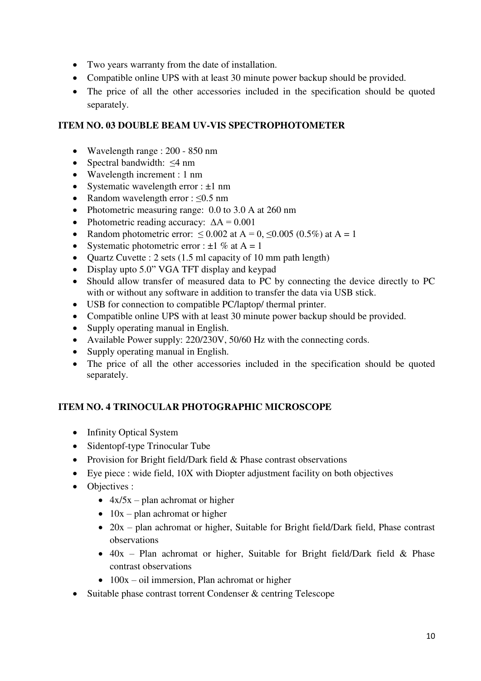- Two years warranty from the date of installation.
- Compatible online UPS with at least 30 minute power backup should be provided.
- The price of all the other accessories included in the specification should be quoted separately.

### **ITEM NO. 03 DOUBLE BEAM UV-VIS SPECTROPHOTOMETER**

- Wavelength range : 200 850 nm
- Spectral bandwidth:  $\leq 4$  nm
- Wavelength increment : 1 nm
- Systematic wavelength error :  $\pm 1$  nm
- Random wavelength error :  $\leq 0.5$  nm
- Photometric measuring range: 0.0 to 3.0 A at 260 nm
- Photometric reading accuracy:  $\Delta A = 0.001$
- Random photometric error:  $\leq 0.002$  at A = 0,  $\leq 0.005$  (0.5%) at A = 1
- Systematic photometric error :  $\pm 1$  % at A = 1
- Quartz Cuvette : 2 sets  $(1.5 \text{ ml capacity of } 10 \text{ mm path length})$
- Display upto 5.0" VGA TFT display and keypad
- Should allow transfer of measured data to PC by connecting the device directly to PC with or without any software in addition to transfer the data via USB stick.
- USB for connection to compatible PC/laptop/ thermal printer.
- Compatible online UPS with at least 30 minute power backup should be provided.
- Supply operating manual in English.
- Available Power supply: 220/230V, 50/60 Hz with the connecting cords.
- Supply operating manual in English.
- The price of all the other accessories included in the specification should be quoted separately.

## **ITEM NO. 4 TRINOCULAR PHOTOGRAPHIC MICROSCOPE**

- Infinity Optical System
- Sidentopf-type Trinocular Tube
- Provision for Bright field/Dark field & Phase contrast observations
- Eye piece : wide field, 10X with Diopter adjustment facility on both objectives
- Objectives :
	- $\triangleleft$  4x/5x plan achromat or higher
	- $\bullet$  10x plan achromat or higher
	- 20x plan achromat or higher, Suitable for Bright field/Dark field, Phase contrast observations
	- $\bullet$  40x Plan achromat or higher, Suitable for Bright field/Dark field & Phase contrast observations
	- $\bullet$  100x oil immersion, Plan achromat or higher
- Suitable phase contrast torrent Condenser & centring Telescope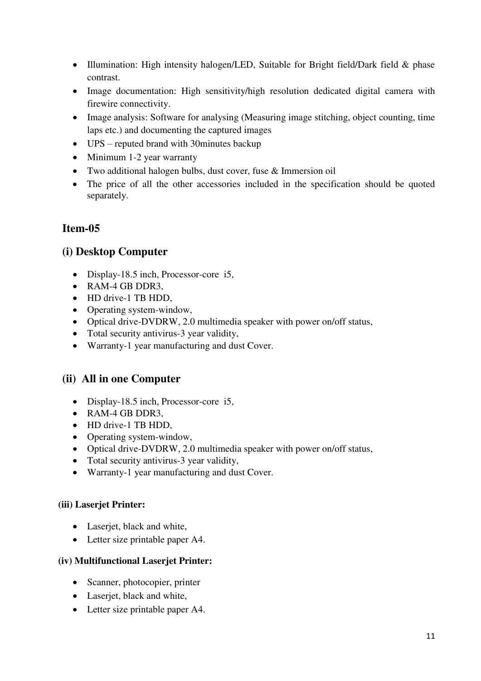- Illumination: High intensity halogen/LED, Suitable for Bright field/Dark field & phase contrast.
- Image documentation: High sensitivity/high resolution dedicated digital camera with firewire connectivity.
- Image analysis: Software for analysing (Measuring image stitching, object counting, time laps etc.) and documenting the captured images
- UPS reputed brand with 30minutes backup
- Minimum 1-2 year warranty
- Two additional halogen bulbs, dust cover, fuse & Immersion oil
- The price of all the other accessories included in the specification should be quoted separately.

# **Item-05**

## **(i) Desktop Computer**

- Display-18.5 inch, Processor-core i5,
- RAM-4 GB DDR3.
- HD drive-1 TB HDD.
- Operating system-window,
- Optical drive-DVDRW, 2.0 multimedia speaker with power on/off status,
- Total security antivirus-3 year validity,
- Warranty-1 year manufacturing and dust Cover.

# **(ii) All in one Computer**

- Display-18.5 inch, Processor-core i5,
- RAM-4 GB DDR3
- HD drive-1 TB HDD.
- Operating system-window,
- Optical drive-DVDRW, 2.0 multimedia speaker with power on/off status,
- Total security antivirus-3 year validity,
- Warranty-1 year manufacturing and dust Cover.

### **(iii) Laserjet Printer:**

- Laserjet, black and white,
- Letter size printable paper A4.

### **(iv) Multifunctional Laserjet Printer:**

- Scanner, photocopier, printer
- Laserjet, black and white,
- Letter size printable paper A4.